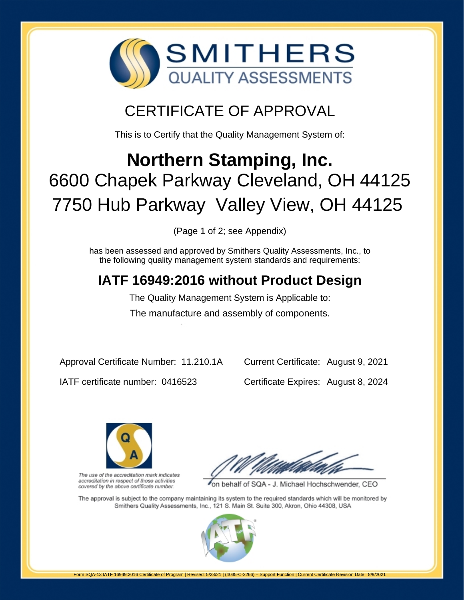

## CERTIFICATE OF APPROVAL

This is to Certify that the Quality Management System of:

# **Northern Stamping, Inc.** 6600 Chapek Parkway Cleveland, OH 44125 7750 Hub Parkway Valley View, OH 44125

(Page 1 of 2; see Appendix)

has been assessed and approved by Smithers Quality Assessments, Inc., to the following quality management system standards and requirements:

### **IATF 16949:2016 without Product Design**

The Quality Management System is Applicable to: The manufacture and assembly of components.

Approval Certificate Number: 11.210.1A

Current Certificate: August 9, 2021

IATF certificate number: 0416523

Certificate Expires: August 8, 2024



The use of the accreditation mark indicates accreditation in respect of those activities covered by the above certificate number.

on behalf of SQA - J. Michael Hochschwender, CEO

The approval is subject to the company maintaining its system to the required standards which will be monitored by Smithers Quality Assessments, Inc., 121 S. Main St. Suite 300, Akron, Ohio 44308, USA